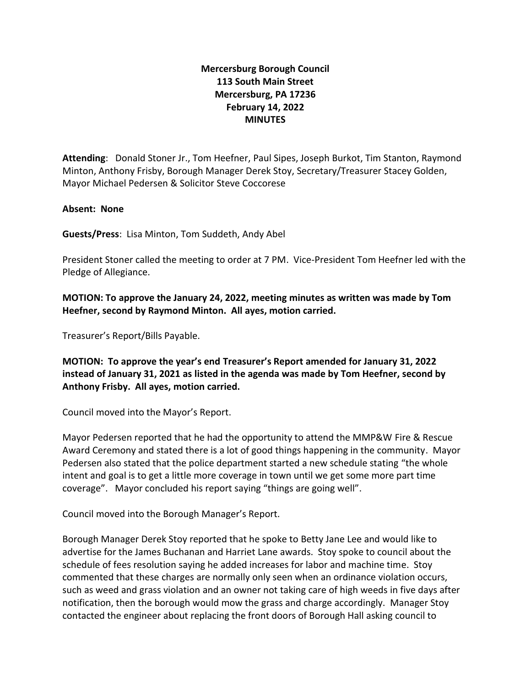## **Mercersburg Borough Council 113 South Main Street Mercersburg, PA 17236 February 14, 2022 MINUTES**

**Attending**: Donald Stoner Jr., Tom Heefner, Paul Sipes, Joseph Burkot, Tim Stanton, Raymond Minton, Anthony Frisby, Borough Manager Derek Stoy, Secretary/Treasurer Stacey Golden, Mayor Michael Pedersen & Solicitor Steve Coccorese

## **Absent: None**

**Guests/Press**: Lisa Minton, Tom Suddeth, Andy Abel

President Stoner called the meeting to order at 7 PM. Vice-President Tom Heefner led with the Pledge of Allegiance.

**MOTION: To approve the January 24, 2022, meeting minutes as written was made by Tom Heefner, second by Raymond Minton. All ayes, motion carried.**

Treasurer's Report/Bills Payable.

**MOTION: To approve the year's end Treasurer's Report amended for January 31, 2022 instead of January 31, 2021 as listed in the agenda was made by Tom Heefner, second by Anthony Frisby. All ayes, motion carried.** 

Council moved into the Mayor's Report.

Mayor Pedersen reported that he had the opportunity to attend the MMP&W Fire & Rescue Award Ceremony and stated there is a lot of good things happening in the community. Mayor Pedersen also stated that the police department started a new schedule stating "the whole intent and goal is to get a little more coverage in town until we get some more part time coverage". Mayor concluded his report saying "things are going well".

Council moved into the Borough Manager's Report.

Borough Manager Derek Stoy reported that he spoke to Betty Jane Lee and would like to advertise for the James Buchanan and Harriet Lane awards. Stoy spoke to council about the schedule of fees resolution saying he added increases for labor and machine time. Stoy commented that these charges are normally only seen when an ordinance violation occurs, such as weed and grass violation and an owner not taking care of high weeds in five days after notification, then the borough would mow the grass and charge accordingly. Manager Stoy contacted the engineer about replacing the front doors of Borough Hall asking council to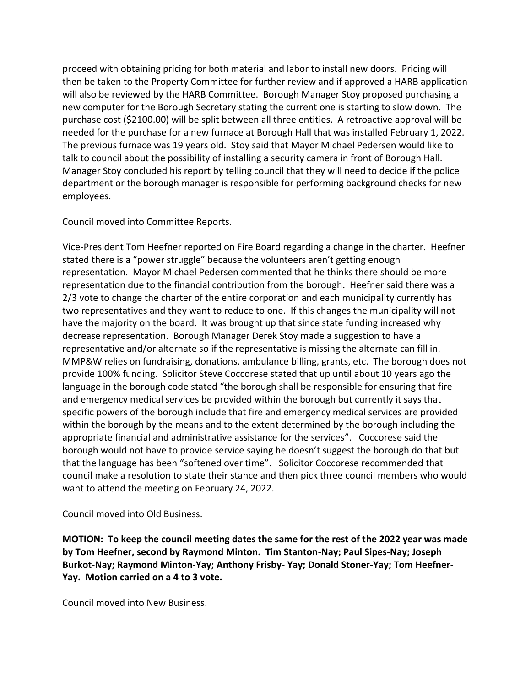proceed with obtaining pricing for both material and labor to install new doors. Pricing will then be taken to the Property Committee for further review and if approved a HARB application will also be reviewed by the HARB Committee. Borough Manager Stoy proposed purchasing a new computer for the Borough Secretary stating the current one is starting to slow down. The purchase cost (\$2100.00) will be split between all three entities. A retroactive approval will be needed for the purchase for a new furnace at Borough Hall that was installed February 1, 2022. The previous furnace was 19 years old. Stoy said that Mayor Michael Pedersen would like to talk to council about the possibility of installing a security camera in front of Borough Hall. Manager Stoy concluded his report by telling council that they will need to decide if the police department or the borough manager is responsible for performing background checks for new employees.

Council moved into Committee Reports.

Vice-President Tom Heefner reported on Fire Board regarding a change in the charter. Heefner stated there is a "power struggle" because the volunteers aren't getting enough representation. Mayor Michael Pedersen commented that he thinks there should be more representation due to the financial contribution from the borough. Heefner said there was a 2/3 vote to change the charter of the entire corporation and each municipality currently has two representatives and they want to reduce to one. If this changes the municipality will not have the majority on the board. It was brought up that since state funding increased why decrease representation. Borough Manager Derek Stoy made a suggestion to have a representative and/or alternate so if the representative is missing the alternate can fill in. MMP&W relies on fundraising, donations, ambulance billing, grants, etc. The borough does not provide 100% funding. Solicitor Steve Coccorese stated that up until about 10 years ago the language in the borough code stated "the borough shall be responsible for ensuring that fire and emergency medical services be provided within the borough but currently it says that specific powers of the borough include that fire and emergency medical services are provided within the borough by the means and to the extent determined by the borough including the appropriate financial and administrative assistance for the services". Coccorese said the borough would not have to provide service saying he doesn't suggest the borough do that but that the language has been "softened over time". Solicitor Coccorese recommended that council make a resolution to state their stance and then pick three council members who would want to attend the meeting on February 24, 2022.

Council moved into Old Business.

**MOTION: To keep the council meeting dates the same for the rest of the 2022 year was made by Tom Heefner, second by Raymond Minton. Tim Stanton-Nay; Paul Sipes-Nay; Joseph Burkot-Nay; Raymond Minton-Yay; Anthony Frisby- Yay; Donald Stoner-Yay; Tom Heefner-Yay. Motion carried on a 4 to 3 vote.** 

Council moved into New Business.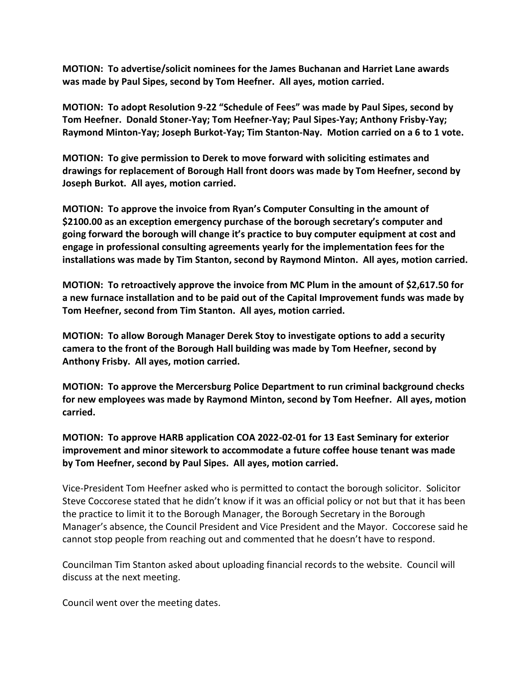**MOTION: To advertise/solicit nominees for the James Buchanan and Harriet Lane awards was made by Paul Sipes, second by Tom Heefner. All ayes, motion carried.**

**MOTION: To adopt Resolution 9-22 "Schedule of Fees" was made by Paul Sipes, second by Tom Heefner. Donald Stoner-Yay; Tom Heefner-Yay; Paul Sipes-Yay; Anthony Frisby-Yay; Raymond Minton-Yay; Joseph Burkot-Yay; Tim Stanton-Nay. Motion carried on a 6 to 1 vote.** 

**MOTION: To give permission to Derek to move forward with soliciting estimates and drawings for replacement of Borough Hall front doors was made by Tom Heefner, second by Joseph Burkot. All ayes, motion carried.**

**MOTION: To approve the invoice from Ryan's Computer Consulting in the amount of \$2100.00 as an exception emergency purchase of the borough secretary's computer and going forward the borough will change it's practice to buy computer equipment at cost and engage in professional consulting agreements yearly for the implementation fees for the installations was made by Tim Stanton, second by Raymond Minton. All ayes, motion carried.** 

**MOTION: To retroactively approve the invoice from MC Plum in the amount of \$2,617.50 for a new furnace installation and to be paid out of the Capital Improvement funds was made by Tom Heefner, second from Tim Stanton. All ayes, motion carried.**

**MOTION: To allow Borough Manager Derek Stoy to investigate options to add a security camera to the front of the Borough Hall building was made by Tom Heefner, second by Anthony Frisby. All ayes, motion carried.**

**MOTION: To approve the Mercersburg Police Department to run criminal background checks for new employees was made by Raymond Minton, second by Tom Heefner. All ayes, motion carried.** 

**MOTION: To approve HARB application COA 2022-02-01 for 13 East Seminary for exterior improvement and minor sitework to accommodate a future coffee house tenant was made by Tom Heefner, second by Paul Sipes. All ayes, motion carried.**

Vice-President Tom Heefner asked who is permitted to contact the borough solicitor. Solicitor Steve Coccorese stated that he didn't know if it was an official policy or not but that it has been the practice to limit it to the Borough Manager, the Borough Secretary in the Borough Manager's absence, the Council President and Vice President and the Mayor. Coccorese said he cannot stop people from reaching out and commented that he doesn't have to respond.

Councilman Tim Stanton asked about uploading financial records to the website. Council will discuss at the next meeting.

Council went over the meeting dates.